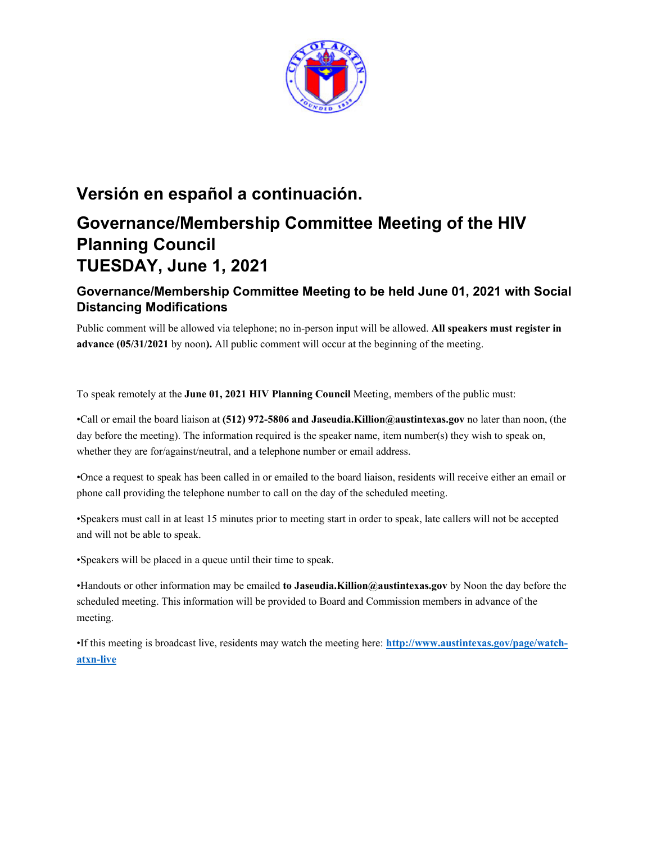

# **Versión en español a continuación. Governance/Membership Committee Meeting of the HIV**

# **Planning Council TUESDAY, June 1, 2021**

## **Governance/Membership Committee Meeting to be held June 01, 2021 with Social Distancing Modifications**

Public comment will be allowed via telephone; no in-person input will be allowed. **All speakers must register in advance (05/31/2021** by noon**).** All public comment will occur at the beginning of the meeting.

To speak remotely at the **June 01, 2021 HIV Planning Council** Meeting, members of the public must:

•Call or email the board liaison at **(512) 972-5806 and Jaseudia.Killion@austintexas.gov** no later than noon, (the day before the meeting). The information required is the speaker name, item number(s) they wish to speak on, whether they are for/against/neutral, and a telephone number or email address.

•Once a request to speak has been called in or emailed to the board liaison, residents will receive either an email or phone call providing the telephone number to call on the day of the scheduled meeting.

•Speakers must call in at least 15 minutes prior to meeting start in order to speak, late callers will not be accepted and will not be able to speak.

•Speakers will be placed in a queue until their time to speak.

•Handouts or other information may be emailed **to Jaseudia.Killion@austintexas.gov** by Noon the day before the scheduled meeting. This information will be provided to Board and Commission members in advance of the meeting.

•If this meeting is broadcast live, residents may watch the meeting here: **http://www.austintexas.gov/page/watchatxn-live**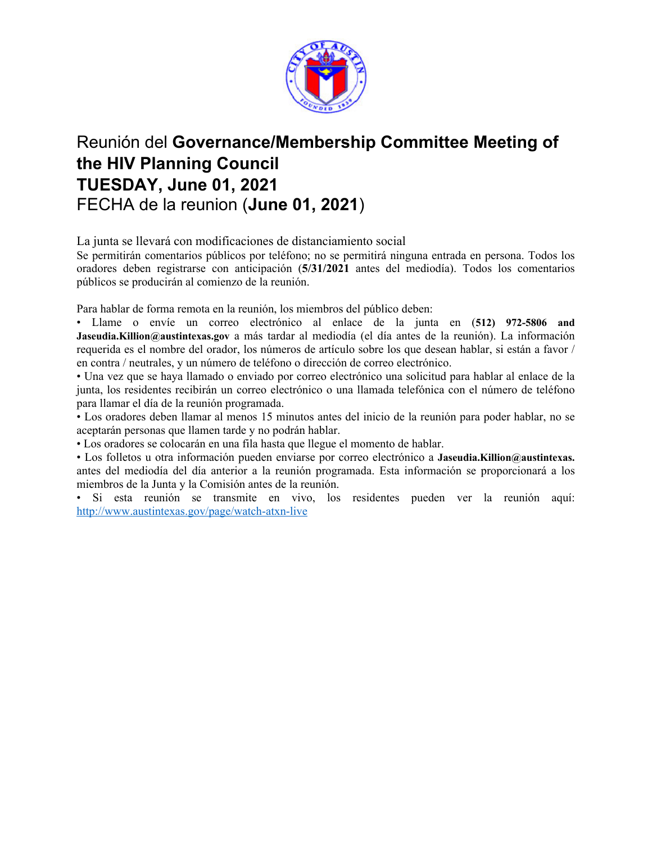

# Reunión del **Governance/Membership Committee Meeting of the HIV Planning Council TUESDAY, June 01, 2021**  FECHA de la reunion (**June 01, 2021**)

La junta se llevará con modificaciones de distanciamiento social

Se permitirán comentarios públicos por teléfono; no se permitirá ninguna entrada en persona. Todos los oradores deben registrarse con anticipación (**5/31/2021** antes del mediodía). Todos los comentarios públicos se producirán al comienzo de la reunión.

Para hablar de forma remota en la reunión, los miembros del público deben:

• Llame o envíe un correo electrónico al enlace de la junta en (**512) 972-5806 and Jaseudia.Killion@austintexas.gov** a más tardar al mediodía (el día antes de la reunión). La información requerida es el nombre del orador, los números de artículo sobre los que desean hablar, si están a favor / en contra / neutrales, y un número de teléfono o dirección de correo electrónico.

• Una vez que se haya llamado o enviado por correo electrónico una solicitud para hablar al enlace de la junta, los residentes recibirán un correo electrónico o una llamada telefónica con el número de teléfono para llamar el día de la reunión programada.

• Los oradores deben llamar al menos 15 minutos antes del inicio de la reunión para poder hablar, no se aceptarán personas que llamen tarde y no podrán hablar.

• Los oradores se colocarán en una fila hasta que llegue el momento de hablar.

• Los folletos u otra información pueden enviarse por correo electrónico a **Jaseudia.Killion@austintexas.** antes del mediodía del día anterior a la reunión programada. Esta información se proporcionará a los miembros de la Junta y la Comisión antes de la reunión.

• Si esta reunión se transmite en vivo, los residentes pueden ver la reunión aquí: http://www.austintexas.gov/page/watch-atxn-live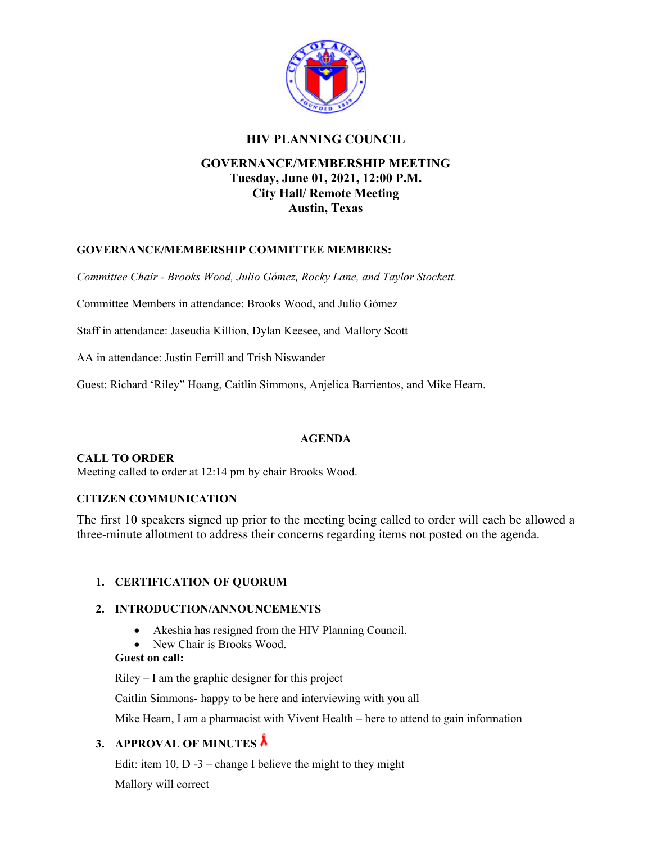

#### **HIV PLANNING COUNCIL**

### **GOVERNANCE/MEMBERSHIP MEETING Tuesday, June 01, 2021, 12:00 P.M. City Hall/ Remote Meeting Austin, Texas**

#### **GOVERNANCE/MEMBERSHIP COMMITTEE MEMBERS:**

*Committee Chair - Brooks Wood, Julio Gómez, Rocky Lane, and Taylor Stockett.* 

Committee Members in attendance: Brooks Wood, and Julio Gómez

Staff in attendance: Jaseudia Killion, Dylan Keesee, and Mallory Scott

AA in attendance: Justin Ferrill and Trish Niswander

Guest: Richard 'Riley" Hoang, Caitlin Simmons, Anjelica Barrientos, and Mike Hearn.

#### **AGENDA**

#### **CALL TO ORDER**

Meeting called to order at 12:14 pm by chair Brooks Wood.

#### **CITIZEN COMMUNICATION**

The first 10 speakers signed up prior to the meeting being called to order will each be allowed a three-minute allotment to address their concerns regarding items not posted on the agenda.

#### **1. CERTIFICATION OF QUORUM**

#### **2. INTRODUCTION/ANNOUNCEMENTS**

- Akeshia has resigned from the HIV Planning Council.
- New Chair is Brooks Wood.

#### **Guest on call:**

Riley – I am the graphic designer for this project

Caitlin Simmons- happy to be here and interviewing with you all

Mike Hearn, I am a pharmacist with Vivent Health – here to attend to gain information

#### **3. APPROVAL OF MINUTES**

Edit: item  $10$ , D  $-3$  – change I believe the might to they might

Mallory will correct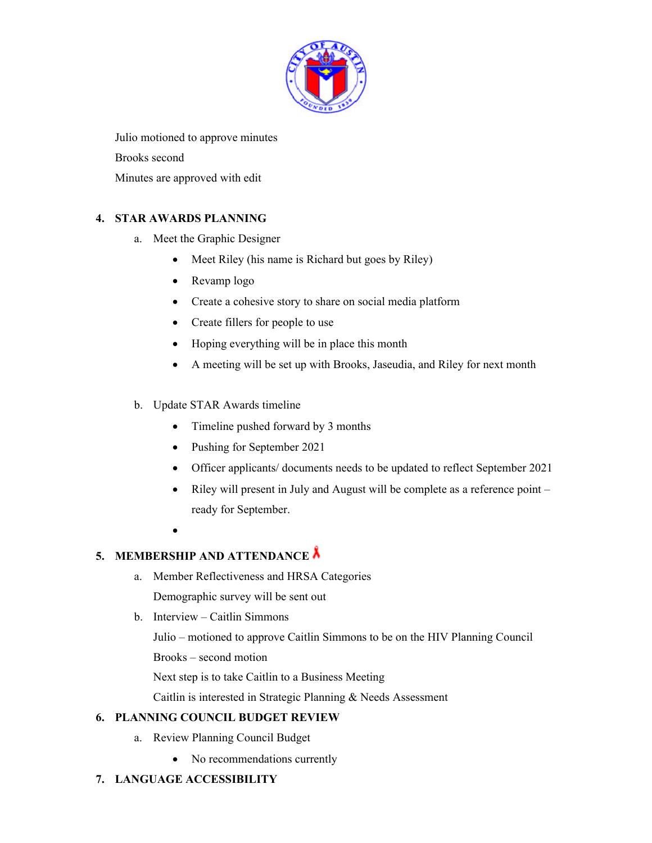

Julio motioned to approve minutes Brooks second Minutes are approved with edit

#### **4. STAR AWARDS PLANNING**

- a. Meet the Graphic Designer
	- Meet Riley (his name is Richard but goes by Riley)
	- Revamp logo
	- Create a cohesive story to share on social media platform
	- Create fillers for people to use
	- Hoping everything will be in place this month
	- A meeting will be set up with Brooks, Jaseudia, and Riley for next month
- b. Update STAR Awards timeline
	- Timeline pushed forward by 3 months
	- Pushing for September 2021
	- Officer applicants/ documents needs to be updated to reflect September 2021
	- Riley will present in July and August will be complete as a reference point ready for September.
	- $\bullet$

### **5. MEMBERSHIP AND ATTENDANCE**

- a. Member Reflectiveness and HRSA Categories Demographic survey will be sent out
- b. Interview Caitlin Simmons

Julio – motioned to approve Caitlin Simmons to be on the HIV Planning Council

Brooks – second motion

Next step is to take Caitlin to a Business Meeting

Caitlin is interested in Strategic Planning & Needs Assessment

#### **6. PLANNING COUNCIL BUDGET REVIEW**

- a. Review Planning Council Budget
	- No recommendations currently
- **7. LANGUAGE ACCESSIBILITY**